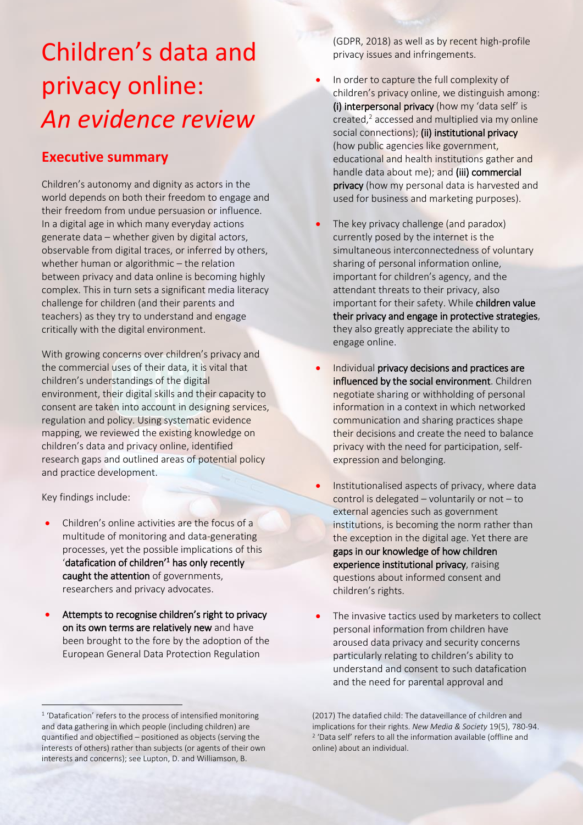## Children's data and privacy online: *An evidence review*

## **Executive summary**

Children's autonomy and dignity as actors in the world depends on both their freedom to engage and their freedom from undue persuasion or influence. In a digital age in which many everyday actions generate data – whether given by digital actors, observable from digital traces, or inferred by others, whether human or algorithmic – the relation between privacy and data online is becoming highly complex. This in turn sets a significant media literacy challenge for children (and their parents and teachers) as they try to understand and engage critically with the digital environment.

With growing concerns over children's privacy and the commercial uses of their data, it is vital that children's understandings of the digital environment, their digital skills and their capacity to consent are taken into account in designing services, regulation and policy. Using systematic evidence mapping, we reviewed the existing knowledge on children's data and privacy online, identified research gaps and outlined areas of potential policy and practice development.

Key findings include:

 $\overline{1}$ 

- Children's online activities are the focus of a multitude of monitoring and data-generating processes, yet the possible implications of this 'datafication of children'<sup>1</sup> has only recently caught the attention of governments, researchers and privacy advocates.
- Attempts to recognise children's right to privacy on its own terms are relatively new and have been brought to the fore by the adoption of the European General Data Protection Regulation

(GDPR, 2018) as well as by recent high-profile privacy issues and infringements.

- In order to capture the full complexity of children's privacy online, we distinguish among: (i) interpersonal privacy (how my 'data self' is created,<sup>2</sup> accessed and multiplied via my online social connections); (ii) institutional privacy (how public agencies like government, educational and health institutions gather and handle data about me); and (iii) commercial privacy (how my personal data is harvested and used for business and marketing purposes).
- The key privacy challenge (and paradox) currently posed by the internet is the simultaneous interconnectedness of voluntary sharing of personal information online, important for children's agency, and the attendant threats to their privacy, also important for their safety. While children value their privacy and engage in protective strategies, they also greatly appreciate the ability to engage online.
- Individual privacy decisions and practices are influenced by the social environment. Children negotiate sharing or withholding of personal information in a context in which networked communication and sharing practices shape their decisions and create the need to balance privacy with the need for participation, selfexpression and belonging.
- Institutionalised aspects of privacy, where data control is delegated – voluntarily or not – to external agencies such as government institutions, is becoming the norm rather than the exception in the digital age. Yet there are gaps in our knowledge of how children experience institutional privacy, raising questions about informed consent and children's rights.
- The invasive tactics used by marketers to collect personal information from children have aroused data privacy and security concerns particularly relating to children's ability to understand and consent to such datafication and the need for parental approval and

<sup>&</sup>lt;sup>1</sup> 'Datafication' refers to the process of intensified monitoring and data gathering in which people (including children) are quantified and objectified – positioned as objects (serving the interests of others) rather than subjects (or agents of their own interests and concerns); see Lupton, D. and Williamson, B.

<sup>(2017)</sup> The datafied child: The dataveillance of children and implications for their rights. *New Media & Society* 19(5), 780-94. 2 'Data self' refers to all the information available (offline and online) about an individual.